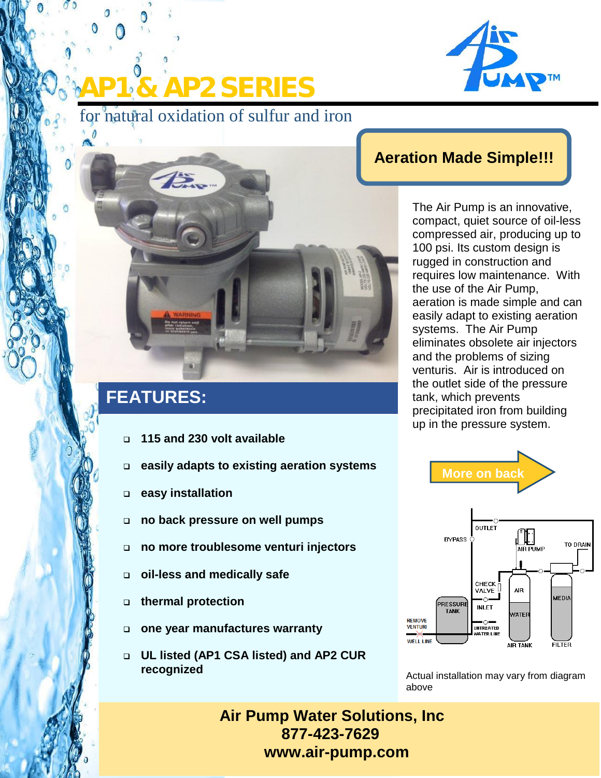

for natural oxidation of sulfur and iron

**B. & AP2 SERIES** 

## **Aeration Made Simple!!!**

The Air Pump is an innovative, compact, quiet source of oil-less compressed air, producing up to 100 psi. Its custom design is rugged in construction and requires low maintenance. With the use of the Air Pump, aeration is made simple and can easily adapt to existing aeration systems. The Air Pump eliminates obsolete air injectors and the problems of sizing venturis. Air is introduced on the outlet side of the pressure tank, which prevents precipitated iron from building up in the pressure system.





Actual installation may vary from diagram above

**Air Pump Water Solutions, Inc 877-423-7629 www.air-pump.com**

# **FEATURES:**

- **115 and 230 volt available**
- **easily adapts to existing aeration systems**
- **easy installation**
- **no back pressure on well pumps**
- **no more troublesome venturi injectors**
- **oil-less and medically safe**
- **thermal protection**
- **one year manufactures warranty**
- **UL listed (AP1 CSA listed) and AP2 CUR recognized**